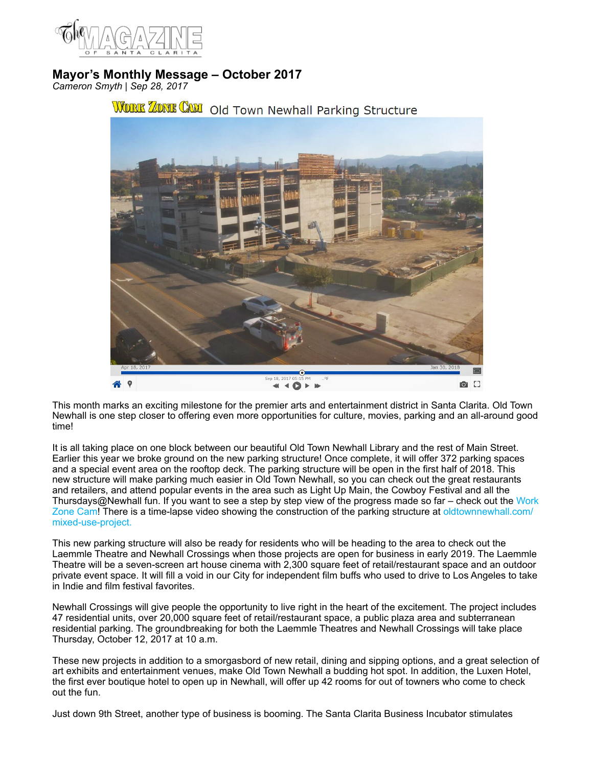

## **Mayor's Monthly Message – October 2017**

*Cameron Smyth | Sep 28, 2017*



## WORK ZONE CAM Old Town Newhall Parking Structure

This month marks an exciting milestone for the premier arts and entertainment district in Santa Clarita. Old Town Newhall is one step closer to offering even more opportunities for culture, movies, parking and an all-around good time!

It is all taking place on one block between our beautiful Old Town Newhall Library and the rest of Main Street. Earlier this year we broke ground on the new parking structure! Once complete, it will offer 372 parking spaces and a special event area on the rooftop deck. The parking structure will be open in the first half of 2018. This new structure will make parking much easier in Old Town Newhall, so you can check out the great restaurants and retailers, and attend popular events in the area such as Light Up Main, the Cowboy Festival and all the Thursdays@Newhall fun. If you want to see a step by step view of the progress made so far – check out the [Work](http://www.workzonecam.com)  [Zone Cam!](http://www.workzonecam.com) There is a time-lapse video showing the construction of the parking structure at [oldtownnewhall.com/](https://www.workzonecam.com/projects/pw-cipcity/oldtownnewhall/workzonecam) [mixed-use-project.](https://www.workzonecam.com/projects/pw-cipcity/oldtownnewhall/workzonecam)

This new parking structure will also be ready for residents who will be heading to the area to check out the Laemmle Theatre and Newhall Crossings when those projects are open for business in early 2019. The Laemmle Theatre will be a seven-screen art house cinema with 2,300 square feet of retail/restaurant space and an outdoor private event space. It will fill a void in our City for independent film buffs who used to drive to Los Angeles to take in Indie and film festival favorites.

Newhall Crossings will give people the opportunity to live right in the heart of the excitement. The project includes 47 residential units, over 20,000 square feet of retail/restaurant space, a public plaza area and subterranean residential parking. The groundbreaking for both the Laemmle Theatres and Newhall Crossings will take place Thursday, October 12, 2017 at 10 a.m.

These new projects in addition to a smorgasbord of new retail, dining and sipping options, and a great selection of art exhibits and entertainment venues, make Old Town Newhall a budding hot spot. In addition, the Luxen Hotel, the first ever boutique hotel to open up in Newhall, will offer up 42 rooms for out of towners who come to check out the fun.

Just down 9th Street, another type of business is booming. The Santa Clarita Business Incubator stimulates